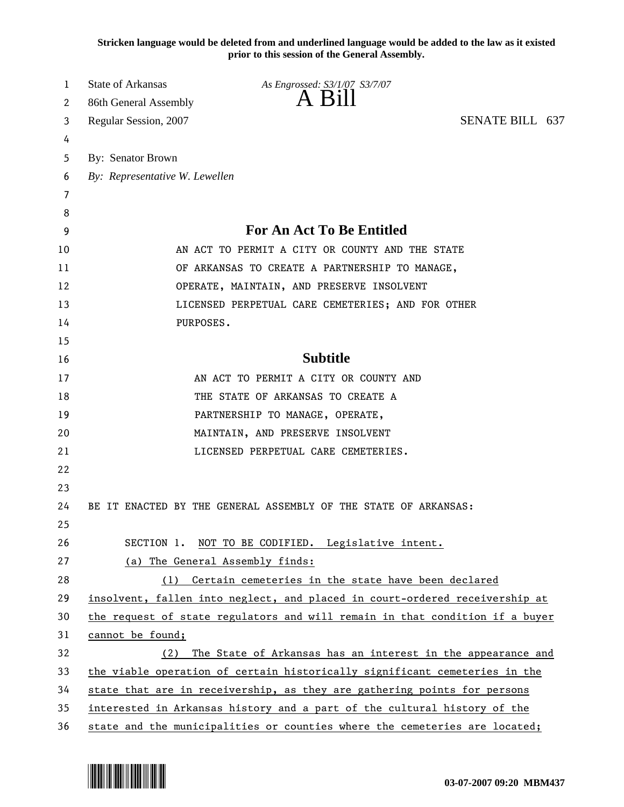**Stricken language would be deleted from and underlined language would be added to the law as it existed prior to this session of the General Assembly.**

| 1  | State of Arkansas               | As Engrossed: S3/1/07 S3/7/07                                                |                 |  |
|----|---------------------------------|------------------------------------------------------------------------------|-----------------|--|
| 2  | 86th General Assembly           | $A$ Bill                                                                     |                 |  |
| 3  | Regular Session, 2007           |                                                                              | SENATE BILL 637 |  |
| 4  |                                 |                                                                              |                 |  |
| 5  | By: Senator Brown               |                                                                              |                 |  |
| 6  | By: Representative W. Lewellen  |                                                                              |                 |  |
| 7  |                                 |                                                                              |                 |  |
| 8  |                                 |                                                                              |                 |  |
| 9  |                                 | For An Act To Be Entitled                                                    |                 |  |
| 10 |                                 | AN ACT TO PERMIT A CITY OR COUNTY AND THE STATE                              |                 |  |
| 11 |                                 | OF ARKANSAS TO CREATE A PARTNERSHIP TO MANAGE,                               |                 |  |
| 12 |                                 | OPERATE, MAINTAIN, AND PRESERVE INSOLVENT                                    |                 |  |
| 13 |                                 | LICENSED PERPETUAL CARE CEMETERIES; AND FOR OTHER                            |                 |  |
| 14 | PURPOSES.                       |                                                                              |                 |  |
| 15 |                                 |                                                                              |                 |  |
| 16 |                                 | <b>Subtitle</b>                                                              |                 |  |
| 17 |                                 | AN ACT TO PERMIT A CITY OR COUNTY AND                                        |                 |  |
| 18 |                                 | THE STATE OF ARKANSAS TO CREATE A                                            |                 |  |
| 19 |                                 | PARTNERSHIP TO MANAGE, OPERATE,                                              |                 |  |
| 20 |                                 | MAINTAIN, AND PRESERVE INSOLVENT                                             |                 |  |
| 21 |                                 | LICENSED PERPETUAL CARE CEMETERIES.                                          |                 |  |
| 22 |                                 |                                                                              |                 |  |
| 23 |                                 |                                                                              |                 |  |
| 24 |                                 | BE IT ENACTED BY THE GENERAL ASSEMBLY OF THE STATE OF ARKANSAS:              |                 |  |
| 25 |                                 |                                                                              |                 |  |
| 26 | SECTION 1.                      | NOT TO BE CODIFIED. Legislative intent.                                      |                 |  |
| 27 | (a) The General Assembly finds: |                                                                              |                 |  |
| 28 |                                 | (1) Certain cemeteries in the state have been declared                       |                 |  |
| 29 |                                 | insolvent, fallen into neglect, and placed in court-ordered receivership at  |                 |  |
| 30 |                                 | the request of state regulators and will remain in that condition if a buyer |                 |  |
| 31 | cannot be found;                |                                                                              |                 |  |
| 32 | (2)                             | The State of Arkansas has an interest in the appearance and                  |                 |  |
| 33 |                                 | the viable operation of certain historically significant cemeteries in the   |                 |  |
| 34 |                                 | state that are in receivership, as they are gathering points for persons     |                 |  |
| 35 |                                 | interested in Arkansas history and a part of the cultural history of the     |                 |  |
| 36 |                                 | state and the municipalities or counties where the cemeteries are located;   |                 |  |

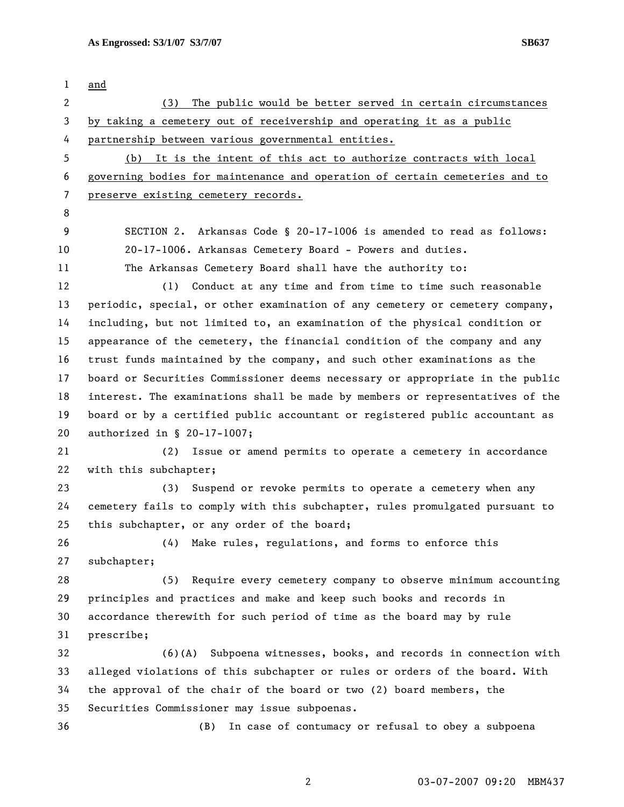1 and 2 (3) The public would be better served in certain circumstances 3 by taking a cemetery out of receivership and operating it as a public 4 partnership between various governmental entities. 5 (b) It is the intent of this act to authorize contracts with local 6 governing bodies for maintenance and operation of certain cemeteries and to 7 preserve existing cemetery records. 8 9 SECTION 2. Arkansas Code § 20-17-1006 is amended to read as follows: 10 20-17-1006. Arkansas Cemetery Board - Powers and duties. 11 The Arkansas Cemetery Board shall have the authority to: 12 (1) Conduct at any time and from time to time such reasonable 13 periodic, special, or other examination of any cemetery or cemetery company, 14 including, but not limited to, an examination of the physical condition or 15 appearance of the cemetery, the financial condition of the company and any 16 trust funds maintained by the company, and such other examinations as the 17 board or Securities Commissioner deems necessary or appropriate in the public 18 interest. The examinations shall be made by members or representatives of the 19 board or by a certified public accountant or registered public accountant as 20 authorized in § 20-17-1007; 21 (2) Issue or amend permits to operate a cemetery in accordance 22 with this subchapter; 23 (3) Suspend or revoke permits to operate a cemetery when any 24 cemetery fails to comply with this subchapter, rules promulgated pursuant to 25 this subchapter, or any order of the board; 26 (4) Make rules, regulations, and forms to enforce this 27 subchapter; 28 (5) Require every cemetery company to observe minimum accounting 29 principles and practices and make and keep such books and records in 30 accordance therewith for such period of time as the board may by rule 31 prescribe; 32 (6)(A) Subpoena witnesses, books, and records in connection with 33 alleged violations of this subchapter or rules or orders of the board. With 34 the approval of the chair of the board or two (2) board members, the 35 Securities Commissioner may issue subpoenas. 36 (B) In case of contumacy or refusal to obey a subpoena

2 03-07-2007 09:20 MBM437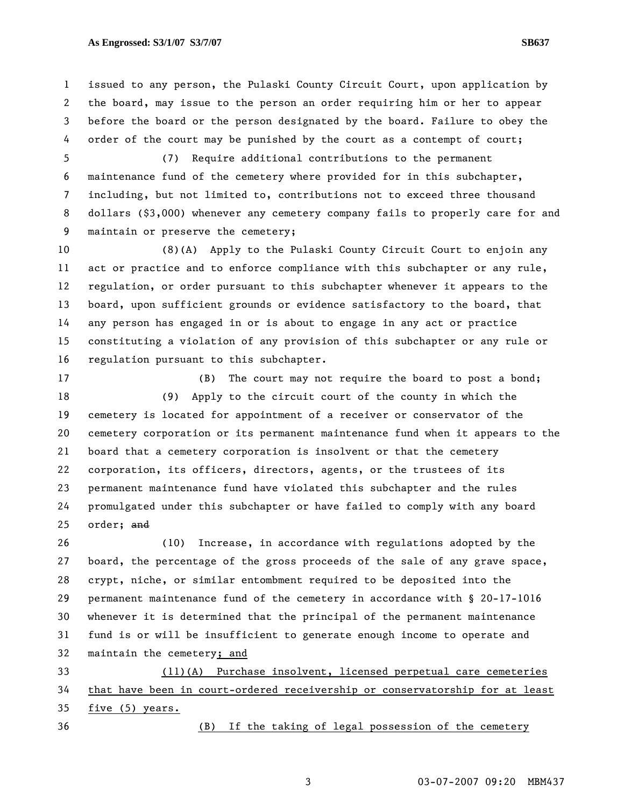## As Engrossed: S3/1/07 S3/7/07 **S3/7/07** SB637

1 issued to any person, the Pulaski County Circuit Court, upon application by 2 the board, may issue to the person an order requiring him or her to appear 3 before the board or the person designated by the board. Failure to obey the 4 order of the court may be punished by the court as a contempt of court;

5 (7) Require additional contributions to the permanent 6 maintenance fund of the cemetery where provided for in this subchapter, 7 including, but not limited to, contributions not to exceed three thousand 8 dollars (\$3,000) whenever any cemetery company fails to properly care for and 9 maintain or preserve the cemetery;

10 (8)(A) Apply to the Pulaski County Circuit Court to enjoin any 11 act or practice and to enforce compliance with this subchapter or any rule, 12 regulation, or order pursuant to this subchapter whenever it appears to the 13 board, upon sufficient grounds or evidence satisfactory to the board, that 14 any person has engaged in or is about to engage in any act or practice 15 constituting a violation of any provision of this subchapter or any rule or 16 regulation pursuant to this subchapter.

17 (B) The court may not require the board to post a bond; 18 (9) Apply to the circuit court of the county in which the 19 cemetery is located for appointment of a receiver or conservator of the 20 cemetery corporation or its permanent maintenance fund when it appears to the 21 board that a cemetery corporation is insolvent or that the cemetery 22 corporation, its officers, directors, agents, or the trustees of its 23 permanent maintenance fund have violated this subchapter and the rules 24 promulgated under this subchapter or have failed to comply with any board 25 order; and

26 (10) Increase, in accordance with regulations adopted by the 27 board, the percentage of the gross proceeds of the sale of any grave space, 28 crypt, niche, or similar entombment required to be deposited into the 29 permanent maintenance fund of the cemetery in accordance with § 20-17-1016 30 whenever it is determined that the principal of the permanent maintenance 31 fund is or will be insufficient to generate enough income to operate and 32 maintain the cemetery; and

33 (11)(A) Purchase insolvent, licensed perpetual care cemeteries 34 that have been in court-ordered receivership or conservatorship for at least 35 five (5) years.

36 (B) If the taking of legal possession of the cemetery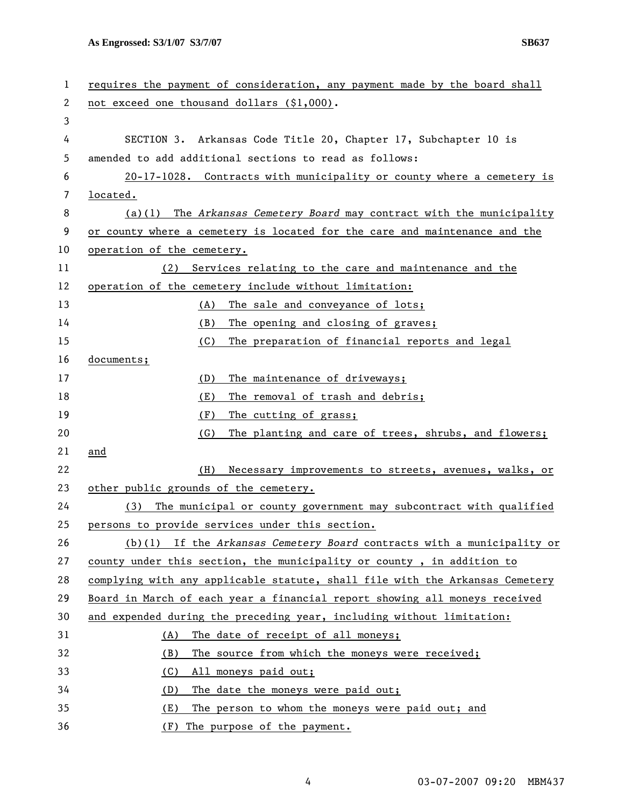**As Engrossed: S3/1/07 S3/7/07 SB637** 

| 1  | requires the payment of consideration, any payment made by the board shall   |
|----|------------------------------------------------------------------------------|
| 2  | not exceed one thousand dollars (\$1,000).                                   |
| 3  |                                                                              |
| 4  | SECTION 3. Arkansas Code Title 20, Chapter 17, Subchapter 10 is              |
| 5  | amended to add additional sections to read as follows:                       |
| 6  | 20-17-1028. Contracts with municipality or county where a cemetery is        |
| 7  | located.                                                                     |
| 8  | The Arkansas Cemetery Board may contract with the municipality<br>(a)(1)     |
| 9  | or county where a cemetery is located for the care and maintenance and the   |
| 10 | operation of the cemetery.                                                   |
| 11 | Services relating to the care and maintenance and the<br>(2)                 |
| 12 | operation of the cemetery include without limitation:                        |
| 13 | The sale and conveyance of lots;<br>(A)                                      |
| 14 | (B)<br>The opening and closing of graves;                                    |
| 15 | (C)<br>The preparation of financial reports and legal                        |
| 16 | documents;                                                                   |
| 17 | (D)<br>The maintenance of driveways;                                         |
| 18 | The removal of trash and debris;<br>(E)                                      |
| 19 | (F)<br>The cutting of grass;                                                 |
| 20 | (G)<br>The planting and care of trees, shrubs, and flowers;                  |
| 21 | and                                                                          |
| 22 | (H)<br>Necessary improvements to streets, avenues, walks, or                 |
| 23 | other public grounds of the cemetery.                                        |
| 24 | (3)<br>The municipal or county government may subcontract with qualified     |
| 25 | persons to provide services under this section.                              |
| 26 | $(b)(1)$ If the Arkansas Cemetery Board contracts with a municipality or     |
| 27 | county under this section, the municipality or county, in addition to        |
| 28 | complying with any applicable statute, shall file with the Arkansas Cemetery |
| 29 | Board in March of each year a financial report showing all moneys received   |
| 30 | and expended during the preceding year, including without limitation:        |
| 31 | The date of receipt of all moneys;<br>(A)                                    |
| 32 | The source from which the moneys were received;<br>(B)                       |
| 33 | (C)<br>All moneys paid out;                                                  |
| 34 | The date the moneys were paid out;<br>(D)                                    |
| 35 | The person to whom the moneys were paid out; and<br>(E)                      |
| 36 | (F)<br>The purpose of the payment.                                           |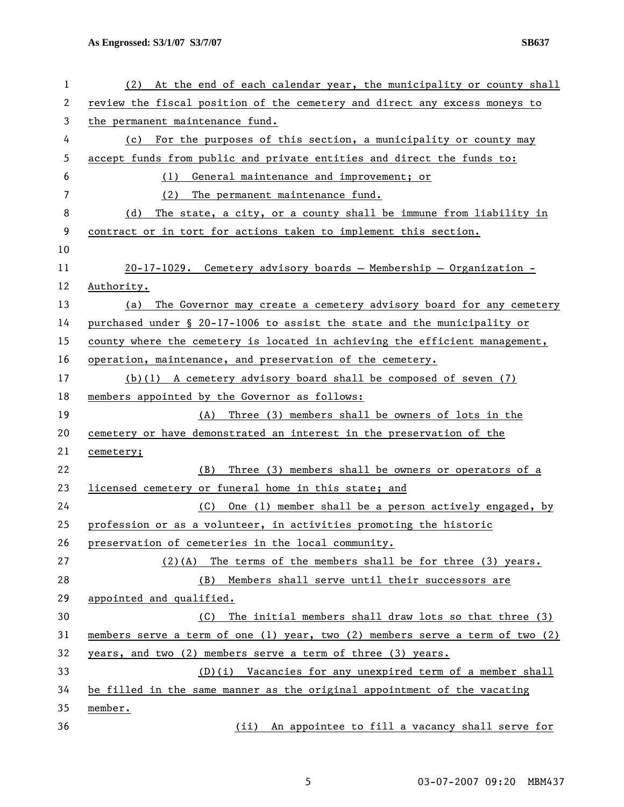| 1  | At the end of each calendar year, the municipality or county shall<br>(2)     |
|----|-------------------------------------------------------------------------------|
| 2  | review the fiscal position of the cemetery and direct any excess moneys to    |
| 3  | the permanent maintenance fund.                                               |
| 4  | For the purposes of this section, a municipality or county may<br>(c)         |
| 5  | accept funds from public and private entities and direct the funds to:        |
| 6  | General maintenance and improvement; or<br>(1)                                |
| 7  | (2)<br>The permanent maintenance fund.                                        |
| 8  | The state, a city, or a county shall be immune from liability in<br>(d)       |
| 9  | contract or in tort for actions taken to implement this section.              |
| 10 |                                                                               |
| 11 | 20-17-1029. Cemetery advisory boards - Membership - Organization -            |
| 12 | Authority.                                                                    |
| 13 | (a) The Governor may create a cemetery advisory board for any cemetery        |
| 14 | purchased under § 20-17-1006 to assist the state and the municipality or      |
| 15 | county where the cemetery is located in achieving the efficient management,   |
| 16 | operation, maintenance, and preservation of the cemetery.                     |
| 17 | $(b)(1)$ A cemetery advisory board shall be composed of seven $(7)$           |
| 18 | members appointed by the Governor as follows:                                 |
| 19 | Three (3) members shall be owners of lots in the<br>(A)                       |
| 20 | cemetery or have demonstrated an interest in the preservation of the          |
| 21 | cemetery;                                                                     |
| 22 | Three (3) members shall be owners or operators of a<br>(B)                    |
| 23 | licensed cemetery or funeral home in this state; and                          |
| 24 | One (1) member shall be a person actively engaged, by<br>(C)                  |
| 25 | profession or as a volunteer, in activities promoting the historic            |
| 26 | preservation of cemeteries in the local community.                            |
| 27 | $(2)(A)$ The terms of the members shall be for three (3) years.               |
| 28 | (B) Members shall serve until their successors are                            |
| 29 | appointed and qualified.                                                      |
| 30 | The initial members shall draw lots so that three (3)<br>(C)                  |
| 31 | members serve a term of one (1) year, two (2) members serve a term of two (2) |
| 32 | years, and two (2) members serve a term of three (3) years.                   |
| 33 | $(D)(i)$ Vacancies for any unexpired term of a member shall                   |
| 34 | be filled in the same manner as the original appointment of the vacating      |
| 35 | member.                                                                       |
| 36 | (ii) An appointee to fill a vacancy shall serve for                           |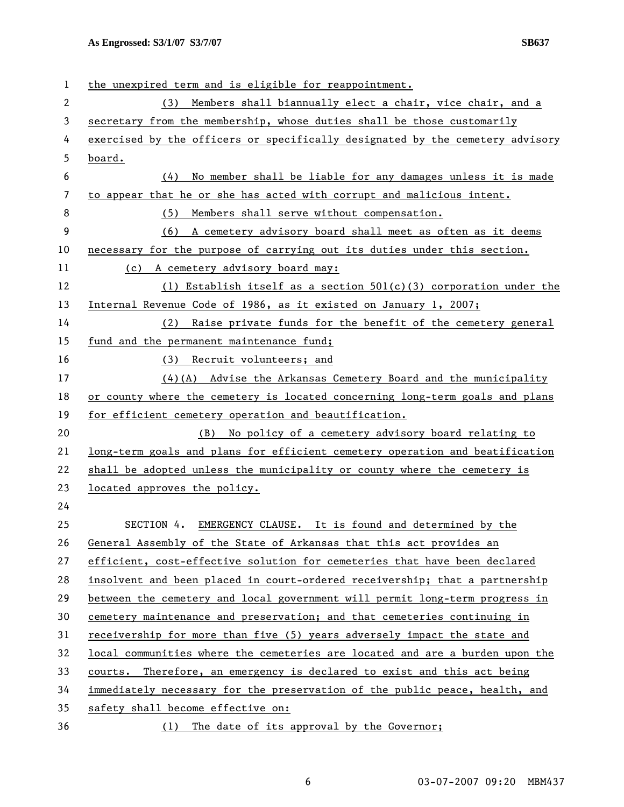| 1              | the unexpired term and is eligible for reappointment.                         |
|----------------|-------------------------------------------------------------------------------|
| $\overline{2}$ | Members shall biannually elect a chair, vice chair, and a<br>(3)              |
| 3              | secretary from the membership, whose duties shall be those customarily        |
| 4              | exercised by the officers or specifically designated by the cemetery advisory |
| 5              | board.                                                                        |
| 6              | No member shall be liable for any damages unless it is made<br>(4)            |
| 7              | to appear that he or she has acted with corrupt and malicious intent.         |
| 8              | Members shall serve without compensation.<br>(5)                              |
| 9              | (6) A cemetery advisory board shall meet as often as it deems                 |
| 10             | necessary for the purpose of carrying out its duties under this section.      |
| 11             | (c) A cemetery advisory board may:                                            |
| 12             | (1) Establish itself as a section $501(c)(3)$ corporation under the           |
| 13             | Internal Revenue Code of 1986, as it existed on January 1, 2007;              |
| 14             | Raise private funds for the benefit of the cemetery general<br>(2)            |
| 15             | fund and the permanent maintenance fund;                                      |
| 16             | (3) Recruit volunteers; and                                                   |
| 17             | $(4)$ (A) Advise the Arkansas Cemetery Board and the municipality             |
| 18             | or county where the cemetery is located concerning long-term goals and plans  |
| 19             | for efficient cemetery operation and beautification.                          |
| 20             | (B) No policy of a cemetery advisory board relating to                        |
| 21             | long-term goals and plans for efficient cemetery operation and beatification  |
| 22             | shall be adopted unless the municipality or county where the cemetery is      |
| 23             | located approves the policy.                                                  |
| 24             |                                                                               |
| 25             | SECTION 4. EMERGENCY CLAUSE. It is found and determined by the                |
| 26             | General Assembly of the State of Arkansas that this act provides an           |
| 27             | efficient, cost-effective solution for cemeteries that have been declared     |
| 28             | insolvent and been placed in court-ordered receivership; that a partnership   |
| 29             | between the cemetery and local government will permit long-term progress in   |
| 30             | cemetery maintenance and preservation; and that cemeteries continuing in      |
| 31             | receivership for more than five (5) years adversely impact the state and      |
| 32             | local communities where the cemeteries are located and are a burden upon the  |
| 33             | courts. Therefore, an emergency is declared to exist and this act being       |
| 34             | immediately necessary for the preservation of the public peace, health, and   |
| 35             | safety shall become effective on:                                             |
| 36             | (1) The date of its approval by the Governor;                                 |